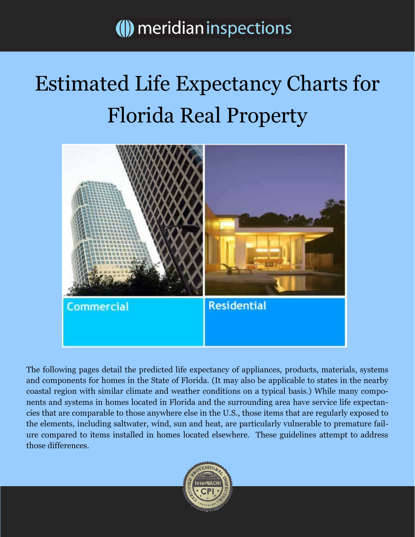## () meridian inspections

## Estimated Life Expectancy Charts for Florida Real Property



The following pages detail the predicted life expectancy of appliances, products, materials, systems and components for homes in the State of Florida. (It may also be applicable to states in the nearby coastal region with similar climate and weather conditions on a typical basis.) While many components and systems in homes located in Florida and the surrounding area have service life expectancies that are comparable to those anywhere else in the U.S., those items that are regularly exposed to the elements, including saltwater, wind, sun and heat, are particularly vulnerable to premature failure compared to items installed in homes located elsewhere. These guidelines attempt to address those differences.

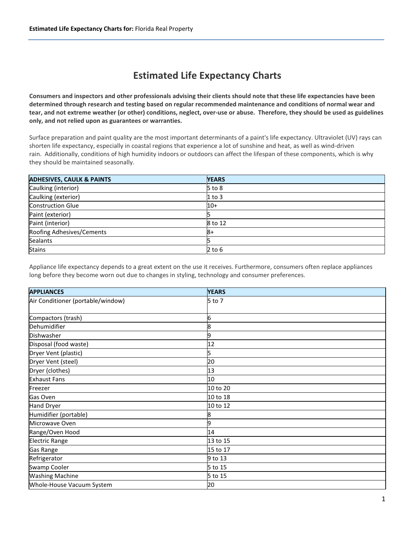## Estimated Life Expectancy Charts

Consumers and inspectors and other professionals advising their clients should note that these life expectancies have been determined through research and testing based on regular recommended maintenance and conditions of normal wear and tear, and not extreme weather (or other) conditions, neglect, over-use or abuse. Therefore, they should be used as guidelines only, and not relied upon as guarantees or warranties.

Surface preparation and paint quality are the most important determinants of a paint's life expectancy. Ultraviolet (UV) rays can shorten life expectancy, especially in coastal regions that experience a lot of sunshine and heat, as well as wind-driven rain. Additionally, conditions of high humidity indoors or outdoors can affect the lifespan of these components, which is why they should be maintained seasonally.

| <b>ADHESIVES, CAULK &amp; PAINTS</b> | <b>YEARS</b> |
|--------------------------------------|--------------|
| Caulking (interior)                  | $5$ to $8$   |
| Caulking (exterior)                  | $1$ to 3     |
| <b>Construction Glue</b>             | $10+$        |
| Paint (exterior)                     |              |
| Paint (interior)                     | 8 to 12      |
| Roofing Adhesives/Cements            | l8+          |
| Sealants                             |              |
| <b>Stains</b>                        | $2$ to $6$   |

Appliance life expectancy depends to a great extent on the use it receives. Furthermore, consumers often replace appliances long before they become worn out due to changes in styling, technology and consumer preferences.

| <b>APPLIANCES</b>                 | <b>YEARS</b> |
|-----------------------------------|--------------|
| Air Conditioner (portable/window) | 5 to 7       |
|                                   |              |
| Compactors (trash)                | 6            |
| Dehumidifier                      | 8            |
| Dishwasher                        | 9            |
| Disposal (food waste)             | 12           |
| Dryer Vent (plastic)              | 5            |
| Dryer Vent (steel)                | 20           |
| Dryer (clothes)                   | 13           |
| <b>Exhaust Fans</b>               | 10           |
| Freezer                           | 10 to 20     |
| Gas Oven                          | 10 to 18     |
| <b>Hand Dryer</b>                 | 10 to 12     |
| Humidifier (portable)             |              |
| Microwave Oven                    | 9            |
| Range/Oven Hood                   | 14           |
| <b>Electric Range</b>             | 13 to 15     |
| <b>Gas Range</b>                  | 15 to 17     |
| Refrigerator                      | 9 to 13      |
| <b>Swamp Cooler</b>               | 5 to 15      |
| <b>Washing Machine</b>            | 5 to 15      |
| Whole-House Vacuum System         | 20           |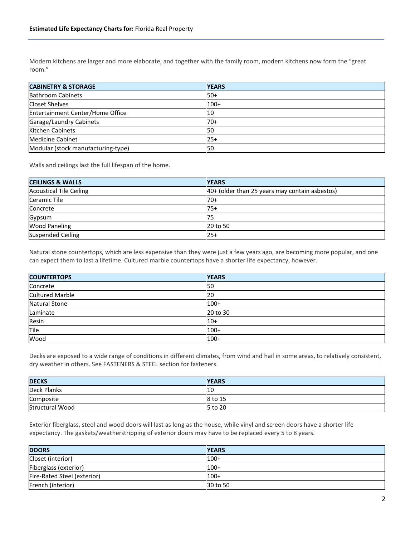Modern kitchens are larger and more elaborate, and together with the family room, modern kitchens now form the "great room."

| <b>CABINETRY &amp; STORAGE</b>     | <b>YEARS</b> |
|------------------------------------|--------------|
| <b>Bathroom Cabinets</b>           | <b>50+</b>   |
| Closet Shelves                     | $100+$       |
| Entertainment Center/Home Office   | 10           |
| Garage/Laundry Cabinets            | $70+$        |
| Kitchen Cabinets                   | 150          |
| Medicine Cabinet                   | $25+$        |
| Modular (stock manufacturing-type) | 50           |

Walls and ceilings last the full lifespan of the home.

| <b>CEILINGS &amp; WALLS</b>    | <b>YEARS</b>                                   |
|--------------------------------|------------------------------------------------|
| <b>Acoustical Tile Ceiling</b> | 40+ (older than 25 years may contain asbestos) |
| Ceramic Tile                   | 70+                                            |
| Concrete                       | $75+$                                          |
| Gypsum                         | 75                                             |
| <b>Wood Paneling</b>           | 20 to 50                                       |
| <b>Suspended Ceiling</b>       | $125+$                                         |

Natural stone countertops, which are less expensive than they were just a few years ago, are becoming more popular, and one can expect them to last a lifetime. Cultured marble countertops have a shorter life expectancy, however.

| <b>COUNTERTOPS</b>     | <b>YEARS</b> |
|------------------------|--------------|
| Concrete               | 150          |
| <b>Cultured Marble</b> | 20           |
| <b>Natural Stone</b>   | $100+$       |
| Laminate               | 20 to 30     |
| Resin                  | 10+          |
| Tile                   | $100+$       |
| Wood                   | $100+$       |

Decks are exposed to a wide range of conditions in different climates, from wind and hail in some areas, to relatively consistent, dry weather in others. See FASTENERS & STEEL section for fasteners.

| <b>DECKS</b>           | <b>YEARS</b>   |
|------------------------|----------------|
| <b>Deck Planks</b>     | 10             |
| Composite              | 8 to 15        |
| <b>Structural Wood</b> | <b>5 to 20</b> |

Exterior fiberglass, steel and wood doors will last as long as the house, while vinyl and screen doors have a shorter life expectancy. The gaskets/weatherstripping of exterior doors may have to be replaced every 5 to 8 years.

| <b>DOORS</b>                | <b>YEARS</b> |
|-----------------------------|--------------|
| Closet (interior)           | $100+$       |
| Fiberglass (exterior)       | $100+$       |
| Fire-Rated Steel (exterior) | $100+$       |
| French (interior)           | 30 to 50     |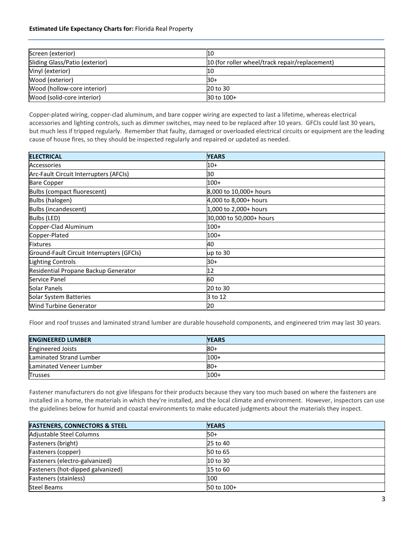## Estimated Life Expectancy Charts for: Florida Real Property

| Screen (exterior)              | 10                                             |
|--------------------------------|------------------------------------------------|
| Sliding Glass/Patio (exterior) | 10 (for roller wheel/track repair/replacement) |
| Vinyl (exterior)               | 10                                             |
| Wood (exterior)                | l30+                                           |
| Wood (hollow-core interior)    | 20 to 30                                       |
| Wood (solid-core interior)     | 30 to 100+                                     |

Copper-plated wiring, copper-clad aluminum, and bare copper wiring are expected to last a lifetime, whereas electrical accessories and lighting controls, such as dimmer switches, may need to be replaced after 10 years. GFCIs could last 30 years, but much less if tripped regularly. Remember that faulty, damaged or overloaded electrical circuits or equipment are the leading cause of house fires, so they should be inspected regularly and repaired or updated as needed.

| <b>ELECTRICAL</b>                         | <b>YEARS</b>            |
|-------------------------------------------|-------------------------|
| Accessories                               | $10+$                   |
| Arc-Fault Circuit Interrupters (AFCIs)    | 30                      |
| <b>Bare Copper</b>                        | $100+$                  |
| Bulbs (compact fluorescent)               | 8,000 to 10,000+ hours  |
| Bulbs (halogen)                           | 4,000 to 8,000+ hours   |
| Bulbs (incandescent)                      | 1,000 to 2,000+ hours   |
| Bulbs (LED)                               | 30,000 to 50,000+ hours |
| Copper-Clad Aluminum                      | $100+$                  |
| Copper-Plated                             | $100+$                  |
| <b>Fixtures</b>                           | 40                      |
| Ground-Fault Circuit Interrupters (GFCIs) | up to 30                |
| Lighting Controls                         | $30+$                   |
| Residential Propane Backup Generator      | 12                      |
| Service Panel                             | 60                      |
| Solar Panels                              | 20 to 30                |
| Solar System Batteries                    | 3 to 12                 |
| <b>Wind Turbine Generator</b>             | 20                      |

Floor and roof trusses and laminated strand lumber are durable household components, and engineered trim may last 30 years.

| <b>ENGINEERED LUMBER</b> | <b>YEARS</b> |
|--------------------------|--------------|
| <b>Engineered Joists</b> | $80+$        |
| Laminated Strand Lumber  | $100+$       |
| Laminated Veneer Lumber  | -80          |
| <b>Trusses</b>           | $100+$       |

Fastener manufacturers do not give lifespans for their products because they vary too much based on where the fasteners are installed in a home, the materials in which they're installed, and the local climate and environment. However, inspectors can use the guidelines below for humid and coastal environments to make educated judgments about the materials they inspect.

| <b>FASTENERS, CONNECTORS &amp; STEEL</b> | <b>YEARS</b> |
|------------------------------------------|--------------|
| Adjustable Steel Columns                 | $50+$        |
| Fasteners (bright)                       | 25 to 40     |
| Fasteners (copper)                       | 50 to 65     |
| Fasteners (electro-galvanized)           | 10 to 30     |
| Fasteners (hot-dipped galvanized)        | 15 to 60     |
| Fasteners (stainless)                    | 100          |
| <b>Steel Beams</b>                       | 50 to 100+   |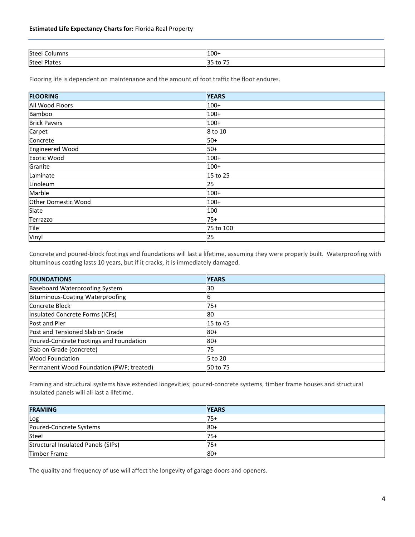| Steel<br>Columns<br>. | $100+$  |
|-----------------------|---------|
| Steel I               | $- -$   |
| `Plates               | . U J J |

Flooring life is dependent on maintenance and the amount of foot traffic the floor endures.

| <b>FLOORING</b>            | <b>YEARS</b> |
|----------------------------|--------------|
| All Wood Floors            | $100+$       |
| Bamboo                     | $100+$       |
| <b>Brick Pavers</b>        | $100+$       |
| Carpet                     | 8 to 10      |
| Concrete                   | $50+$        |
| <b>Engineered Wood</b>     | $50+$        |
| <b>Exotic Wood</b>         | $100+$       |
| Granite                    | $100+$       |
| Laminate                   | 15 to 25     |
| Linoleum                   | 25           |
| Marble                     | $100+$       |
| <b>Other Domestic Wood</b> | $100+$       |
| Slate                      | 100          |
| Terrazzo                   | $75+$        |
| Tile                       | 75 to 100    |
| Vinyl                      | 25           |

Concrete and poured-block footings and foundations will last a lifetime, assuming they were properly built. Waterproofing with bituminous coating lasts 10 years, but if it cracks, it is immediately damaged.

| <b>FOUNDATIONS</b>                       | <b>YEARS</b> |
|------------------------------------------|--------------|
| <b>Baseboard Waterproofing System</b>    | 30           |
| Bituminous-Coating Waterproofing         |              |
| Concrete Block                           | $75+$        |
| Insulated Concrete Forms (ICFs)          | 180          |
| Post and Pier                            | 15 to 45     |
| Post and Tensioned Slab on Grade         | $80+$        |
| Poured-Concrete Footings and Foundation  | $80+$        |
| Slab on Grade (concrete)                 | 75           |
| <b>Wood Foundation</b>                   | 5 to 20      |
| Permanent Wood Foundation (PWF; treated) | 50 to 75     |

Framing and structural systems have extended longevities; poured-concrete systems, timber frame houses and structural insulated panels will all last a lifetime.

| <b>FRAMING</b>                     | <b>YEARS</b> |
|------------------------------------|--------------|
| Log                                | $75+$        |
| Poured-Concrete Systems            | <b>80+</b>   |
| Steel                              | $75+$        |
| Structural Insulated Panels (SIPs) | $75+$        |
| Timber Frame                       | <b>80+</b>   |

The quality and frequency of use will affect the longevity of garage doors and openers.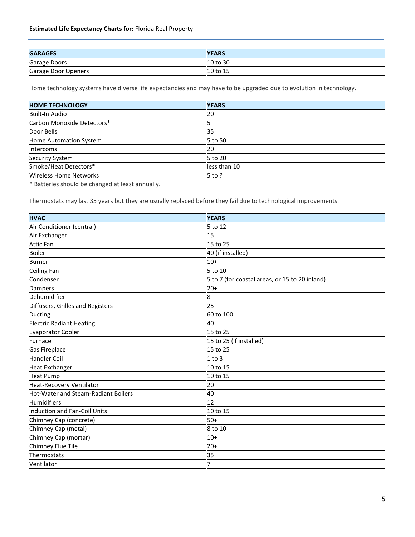| <b>GARAGES</b>      | <b>YEARS</b> |
|---------------------|--------------|
| Garage Doors        | 10 to 30     |
| Garage Door Openers | 10 to 15     |

Home technology systems have diverse life expectancies and may have to be upgraded due to evolution in technology.

| <b>HOME TECHNOLOGY</b>        | <b>YEARS</b> |
|-------------------------------|--------------|
| Built-In Audio                | 20           |
| Carbon Monoxide Detectors*    |              |
| Door Bells                    | 35           |
| Home Automation System        | 5 to 50      |
| <b>Intercoms</b>              | 120          |
| <b>Security System</b>        | 5 to 20      |
| Smoke/Heat Detectors*         | less than 10 |
| <b>Wireless Home Networks</b> | $5$ to ?     |

\* Batteries should be changed at least annually.

Thermostats may last 35 years but they are usually replaced before they fail due to technological improvements.

| <b>HVAC</b>                                | <b>YEARS</b>                                   |
|--------------------------------------------|------------------------------------------------|
| Air Conditioner (central)                  | 5 to 12                                        |
| Air Exchanger                              | 15                                             |
| <b>Attic Fan</b>                           | 15 to 25                                       |
| <b>Boiler</b>                              | 40 (if installed)                              |
| <b>Burner</b>                              | $10+$                                          |
| <b>Ceiling Fan</b>                         | $5$ to 10                                      |
| Condenser                                  | 5 to 7 (for coastal areas, or 15 to 20 inland) |
| Dampers                                    | $20+$                                          |
| Dehumidifier                               | 8                                              |
| Diffusers, Grilles and Registers           | 25                                             |
| Ducting                                    | 60 to 100                                      |
| <b>Electric Radiant Heating</b>            | 40                                             |
| <b>Evaporator Cooler</b>                   | 15 to 25                                       |
| Furnace                                    | 15 to 25 (if installed)                        |
| Gas Fireplace                              | 15 to 25                                       |
| <b>Handler Coil</b>                        | $1$ to $3$                                     |
| <b>Heat Exchanger</b>                      | 10 to 15                                       |
| <b>Heat Pump</b>                           | 10 to 15                                       |
| Heat-Recovery Ventilator                   | 20                                             |
| <b>Hot-Water and Steam-Radiant Boilers</b> | 40                                             |
| Humidifiers                                | 12                                             |
| Induction and Fan-Coil Units               | 10 to 15                                       |
| Chimney Cap (concrete)                     | $50+$                                          |
| Chimney Cap (metal)                        | 8 to 10                                        |
| Chimney Cap (mortar)                       | $10+$                                          |
| Chimney Flue Tile                          | $20+$                                          |
| Thermostats                                | 35                                             |
| Ventilator                                 | 7                                              |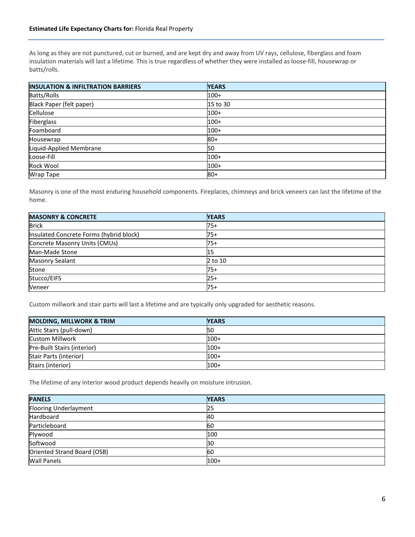As long as they are not punctured, cut or burned, and are kept dry and away from UV rays, cellulose, fiberglass and foam insulation materials will last a lifetime. This is true regardless of whether they were installed as loose-fill, housewrap or batts/rolls.

| <b>INSULATION &amp; INFILTRATION BARRIERS</b> | <b>YEARS</b> |
|-----------------------------------------------|--------------|
| Batts/Rolls                                   | $100+$       |
| Black Paper (felt paper)                      | 15 to 30     |
| Cellulose                                     | $100+$       |
| Fiberglass                                    | $100+$       |
| Foamboard                                     | $100+$       |
| Housewrap                                     | $80+$        |
| Liquid-Applied Membrane                       | 50           |
| Loose-Fill                                    | $100+$       |
| Rock Wool                                     | $100+$       |
| Wrap Tape                                     | $80+$        |

Masonry is one of the most enduring household components. Fireplaces, chimneys and brick veneers can last the lifetime of the home.

| <b>MASONRY &amp; CONCRETE</b>           | <b>YEARS</b> |
|-----------------------------------------|--------------|
| <b>Brick</b>                            | $75+$        |
| Insulated Concrete Forms (hybrid block) | 75+          |
| Concrete Masonry Units (CMUs)           | 75+          |
| Man-Made Stone                          | 15           |
| <b>Masonry Sealant</b>                  | 2 to 10      |
| Stone                                   | $75+$        |
| Stucco/EIFS                             | $25+$        |
| Veneer                                  | 75+          |

Custom millwork and stair parts will last a lifetime and are typically only upgraded for aesthetic reasons.

| <b>MOLDING, MILLWORK &amp; TRIM</b> | <b>YEARS</b> |
|-------------------------------------|--------------|
| Attic Stairs (pull-down)            | <b>1</b> 50  |
| <b>Custom Millwork</b>              | $100+$       |
| Pre-Built Stairs (interior)         | $100+$       |
| Stair Parts (interior)              | $100+$       |
| Stairs (interior)                   | $100+$       |

The lifetime of any interior wood product depends heavily on moisture intrusion.

| <b>PANELS</b>               | <b>YEARS</b> |
|-----------------------------|--------------|
| Flooring Underlayment       | 25           |
| Hardboard                   | 40           |
| Particleboard               | 60           |
| Plywood                     | 100          |
| Softwood                    | 30           |
| Oriented Strand Board (OSB) | 60           |
| <b>Wall Panels</b>          | $100+$       |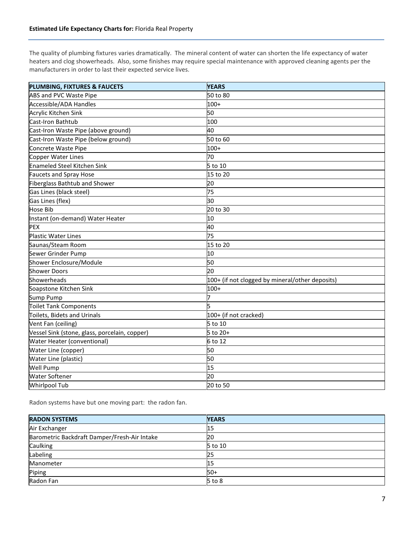The quality of plumbing fixtures varies dramatically. The mineral content of water can shorten the life expectancy of water heaters and clog showerheads. Also, some finishes may require special maintenance with approved cleaning agents per the manufacturers in order to last their expected service lives.

| PLUMBING, FIXTURES & FAUCETS                  | <b>YEARS</b>                                    |
|-----------------------------------------------|-------------------------------------------------|
| <b>ABS and PVC Waste Pipe</b>                 | 50 to 80                                        |
| Accessible/ADA Handles                        | $100+$                                          |
| Acrylic Kitchen Sink                          | 50                                              |
| Cast-Iron Bathtub                             | 100                                             |
| Cast-Iron Waste Pipe (above ground)           | 40                                              |
| Cast-Iron Waste Pipe (below ground)           | 50 to 60                                        |
| Concrete Waste Pipe                           | $100+$                                          |
| Copper Water Lines                            | 70                                              |
| <b>Enameled Steel Kitchen Sink</b>            | 5 to 10                                         |
| Faucets and Spray Hose                        | 15 to 20                                        |
| Fiberglass Bathtub and Shower                 | 20                                              |
| Gas Lines (black steel)                       | 75                                              |
| Gas Lines (flex)                              | 30                                              |
| <b>Hose Bib</b>                               | 20 to 30                                        |
| Instant (on-demand) Water Heater              | 10                                              |
| <b>PEX</b>                                    | 40                                              |
| <b>Plastic Water Lines</b>                    | 75                                              |
| Saunas/Steam Room                             | 15 to 20                                        |
| Sewer Grinder Pump                            | 10                                              |
| Shower Enclosure/Module                       | 50                                              |
| <b>Shower Doors</b>                           | 20                                              |
| Showerheads                                   | 100+ (if not clogged by mineral/other deposits) |
| Soapstone Kitchen Sink                        | $100+$                                          |
| Sump Pump                                     |                                                 |
| <b>Toilet Tank Components</b>                 |                                                 |
| Toilets, Bidets and Urinals                   | 100+ (if not cracked)                           |
| Vent Fan (ceiling)                            | 5 to 10                                         |
| Vessel Sink (stone, glass, porcelain, copper) | 5 to 20+                                        |
| Water Heater (conventional)                   | 6 to 12                                         |
| Water Line (copper)                           | 50                                              |
| Water Line (plastic)                          | 50                                              |
| <b>Well Pump</b>                              | 15                                              |
| <b>Water Softener</b>                         | 20                                              |
| <b>Whirlpool Tub</b>                          | 20 to 50                                        |

Radon systems have but one moving part: the radon fan.

| <b>RADON SYSTEMS</b>                         | <b>YEARS</b> |
|----------------------------------------------|--------------|
| Air Exchanger                                | 15           |
| Barometric Backdraft Damper/Fresh-Air Intake | 20           |
| Caulking                                     | 5 to 10      |
| Labeling                                     | 25           |
| Manometer                                    | 15           |
| Piping                                       | $50+$        |
| Radon Fan                                    | $5$ to $8$   |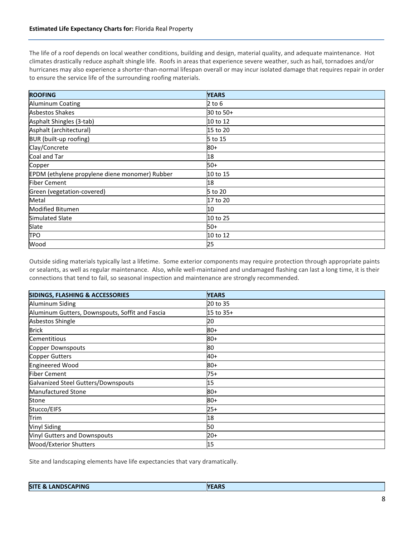The life of a roof depends on local weather conditions, building and design, material quality, and adequate maintenance. Hot climates drastically reduce asphalt shingle life. Roofs in areas that experience severe weather, such as hail, tornadoes and/or hurricanes may also experience a shorter-than-normal lifespan overall or may incur isolated damage that requires repair in order to ensure the service life of the surrounding roofing materials.

| <b>ROOFING</b>                                 | <b>YEARS</b> |
|------------------------------------------------|--------------|
| <b>Aluminum Coating</b>                        | 2 to 6       |
| Asbestos Shakes                                | 30 to 50+    |
| Asphalt Shingles (3-tab)                       | 10 to 12     |
| Asphalt (architectural)                        | 15 to 20     |
| BUR (built-up roofing)                         | 5 to 15      |
| Clay/Concrete                                  | $80 +$       |
| Coal and Tar                                   | 18           |
| Copper                                         | $50+$        |
| EPDM (ethylene propylene diene monomer) Rubber | 10 to 15     |
| <b>Fiber Cement</b>                            | 18           |
| Green (vegetation-covered)                     | 5 to 20      |
| Metal                                          | 17 to 20     |
| <b>Modified Bitumen</b>                        | 10           |
| Simulated Slate                                | 10 to 25     |
| Slate                                          | 50+          |
| <b>TPO</b>                                     | 10 to 12     |
| Wood                                           | 25           |

Outside siding materials typically last a lifetime. Some exterior components may require protection through appropriate paints or sealants, as well as regular maintenance. Also, while well-maintained and undamaged flashing can last a long time, it is their connections that tend to fail, so seasonal inspection and maintenance are strongly recommended.

| <b>SIDINGS, FLASHING &amp; ACCESSORIES</b>      | <b>YEARS</b> |
|-------------------------------------------------|--------------|
| Aluminum Siding                                 | 20 to 35     |
| Aluminum Gutters, Downspouts, Soffit and Fascia | 15 to 35+    |
| Asbestos Shingle                                | 20           |
| <b>Brick</b>                                    | $80+$        |
| Cementitious                                    | 80+          |
| <b>Copper Downspouts</b>                        | 80           |
| Copper Gutters                                  | 40+          |
| <b>Engineered Wood</b>                          | $80+$        |
| <b>Fiber Cement</b>                             | 75+          |
| Galvanized Steel Gutters/Downspouts             | 15           |
| Manufactured Stone                              | 80+          |
| Stone                                           | 80+          |
| Stucco/EIFS                                     | $25+$        |
| Trim                                            | 18           |
| <b>Vinyl Siding</b>                             | 50           |
| <b>Vinyl Gutters and Downspouts</b>             | $20+$        |
| <b>Wood/Exterior Shutters</b>                   | 15           |

Site and landscaping elements have life expectancies that vary dramatically.

| . | <b>LANDSCAPING</b><br><b>SITE</b><br>- 33 | <b>YEARS</b> |
|---|-------------------------------------------|--------------|
|---|-------------------------------------------|--------------|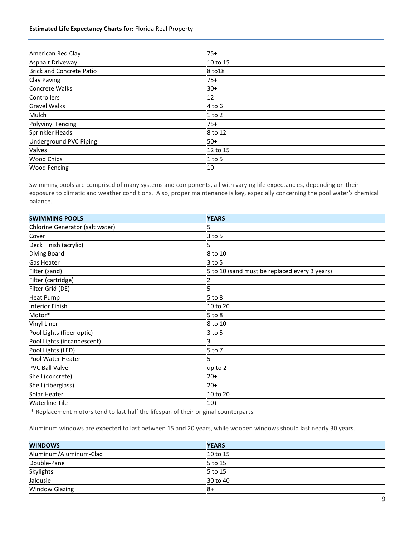| American Red Clay               | $75+$    |
|---------------------------------|----------|
| <b>Asphalt Driveway</b>         | 10 to 15 |
| <b>Brick and Concrete Patio</b> | 8 to 18  |
| Clay Paving                     | $75+$    |
| Concrete Walks                  | $30+$    |
| <b>Controllers</b>              | 12       |
| <b>Gravel Walks</b>             | 4 to 6   |
| Mulch                           | $1$ to 2 |
| <b>Polyvinyl Fencing</b>        | $75+$    |
| Sprinkler Heads                 | 8 to 12  |
| Underground PVC Piping          | 50+      |
| Valves                          | 12 to 15 |
| <b>Wood Chips</b>               | $1$ to 5 |
| <b>Wood Fencing</b>             | 10       |

Swimming pools are comprised of many systems and components, all with varying life expectancies, depending on their exposure to climatic and weather conditions. Also, proper maintenance is key, especially concerning the pool water's chemical balance.

| <b>SWIMMING POOLS</b>           | <b>YEARS</b>                                  |
|---------------------------------|-----------------------------------------------|
| Chlorine Generator (salt water) |                                               |
| Cover                           | 3 to 5                                        |
| Deck Finish (acrylic)           |                                               |
| Diving Board                    | 8 to 10                                       |
| <b>Gas Heater</b>               | 3 to 5                                        |
| Filter (sand)                   | 5 to 10 (sand must be replaced every 3 years) |
| Filter (cartridge)              |                                               |
| Filter Grid (DE)                |                                               |
| <b>Heat Pump</b>                | $5$ to $8$                                    |
| <b>Interior Finish</b>          | 10 to 20                                      |
| Motor*                          | $5$ to $8$                                    |
| Vinyl Liner                     | 8 to 10                                       |
| Pool Lights (fiber optic)       | $3$ to 5                                      |
| Pool Lights (incandescent)      |                                               |
| Pool Lights (LED)               | 5 to 7                                        |
| Pool Water Heater               |                                               |
| <b>PVC Ball Valve</b>           | up to 2                                       |
| Shell (concrete)                | $20+$                                         |
| Shell (fiberglass)              | $20+$                                         |
| Solar Heater                    | 10 to 20                                      |
| <b>Waterline Tile</b>           | $10+$                                         |

\* Replacement motors tend to last half the lifespan of their original counterparts.

Aluminum windows are expected to last between 15 and 20 years, while wooden windows should last nearly 30 years.

| <b>WINDOWS</b>         | <b>YEARS</b> |
|------------------------|--------------|
| Aluminum/Aluminum-Clad | 10 to 15     |
| Double-Pane            | 5 to 15      |
| Skylights              | 5 to 15      |
| Jalousie               | 30 to 40     |
| <b>Window Glazing</b>  | -81          |